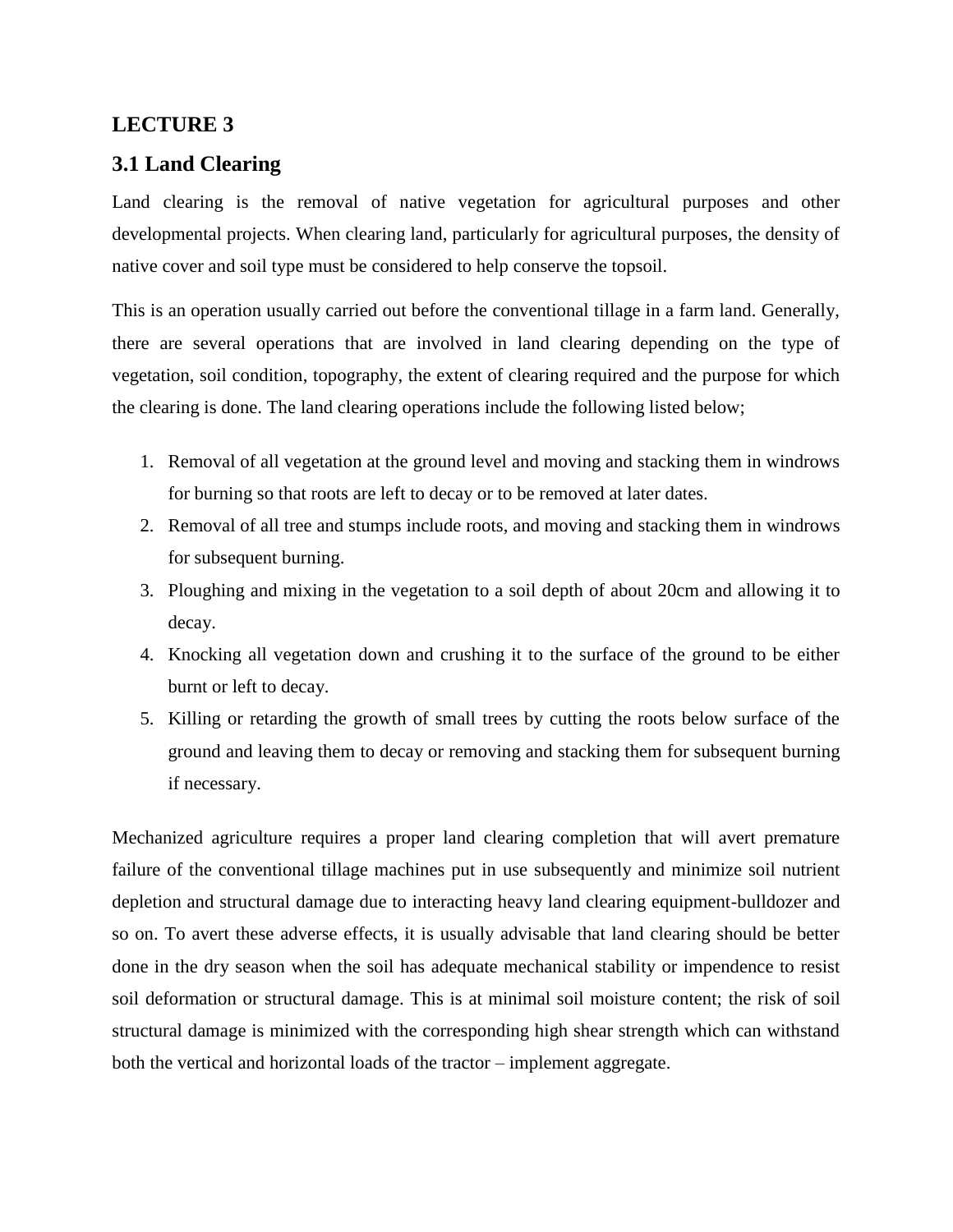# **LECTURE 3**

# **3.1 Land Clearing**

Land clearing is the removal of native vegetation for agricultural purposes and other developmental projects. When clearing land, particularly for agricultural purposes, the density of native cover and soil type must be considered to help conserve the topsoil.

This is an operation usually carried out before the conventional tillage in a farm land. Generally, there are several operations that are involved in land clearing depending on the type of vegetation, soil condition, topography, the extent of clearing required and the purpose for which the clearing is done. The land clearing operations include the following listed below;

- 1. Removal of all vegetation at the ground level and moving and stacking them in windrows for burning so that roots are left to decay or to be removed at later dates.
- 2. Removal of all tree and stumps include roots, and moving and stacking them in windrows for subsequent burning.
- 3. Ploughing and mixing in the vegetation to a soil depth of about 20cm and allowing it to decay.
- 4. Knocking all vegetation down and crushing it to the surface of the ground to be either burnt or left to decay.
- 5. Killing or retarding the growth of small trees by cutting the roots below surface of the ground and leaving them to decay or removing and stacking them for subsequent burning if necessary.

Mechanized agriculture requires a proper land clearing completion that will avert premature failure of the conventional tillage machines put in use subsequently and minimize soil nutrient depletion and structural damage due to interacting heavy land clearing equipment-bulldozer and so on. To avert these adverse effects, it is usually advisable that land clearing should be better done in the dry season when the soil has adequate mechanical stability or impendence to resist soil deformation or structural damage. This is at minimal soil moisture content; the risk of soil structural damage is minimized with the corresponding high shear strength which can withstand both the vertical and horizontal loads of the tractor – implement aggregate.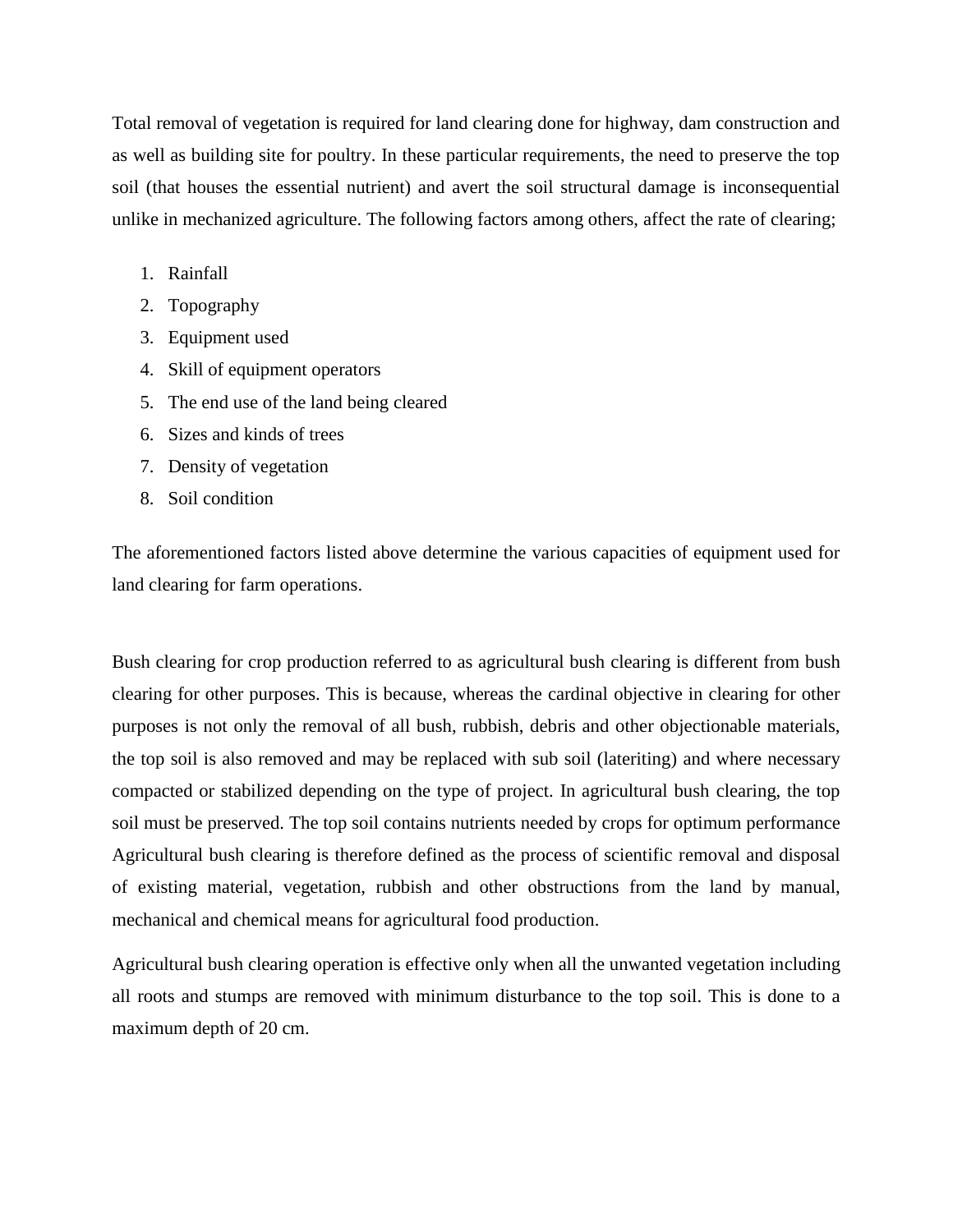Total removal of vegetation is required for land clearing done for highway, dam construction and as well as building site for poultry. In these particular requirements, the need to preserve the top soil (that houses the essential nutrient) and avert the soil structural damage is inconsequential unlike in mechanized agriculture. The following factors among others, affect the rate of clearing;

- 1. Rainfall
- 2. Topography
- 3. Equipment used
- 4. Skill of equipment operators
- 5. The end use of the land being cleared
- 6. Sizes and kinds of trees
- 7. Density of vegetation
- 8. Soil condition

The aforementioned factors listed above determine the various capacities of equipment used for land clearing for farm operations.

Bush clearing for crop production referred to as agricultural bush clearing is different from bush clearing for other purposes. This is because, whereas the cardinal objective in clearing for other purposes is not only the removal of all bush, rubbish, debris and other objectionable materials, the top soil is also removed and may be replaced with sub soil (lateriting) and where necessary compacted or stabilized depending on the type of project. In agricultural bush clearing, the top soil must be preserved. The top soil contains nutrients needed by crops for optimum performance Agricultural bush clearing is therefore defined as the process of scientific removal and disposal of existing material, vegetation, rubbish and other obstructions from the land by manual, mechanical and chemical means for agricultural food production.

Agricultural bush clearing operation is effective only when all the unwanted vegetation including all roots and stumps are removed with minimum disturbance to the top soil. This is done to a maximum depth of 20 cm.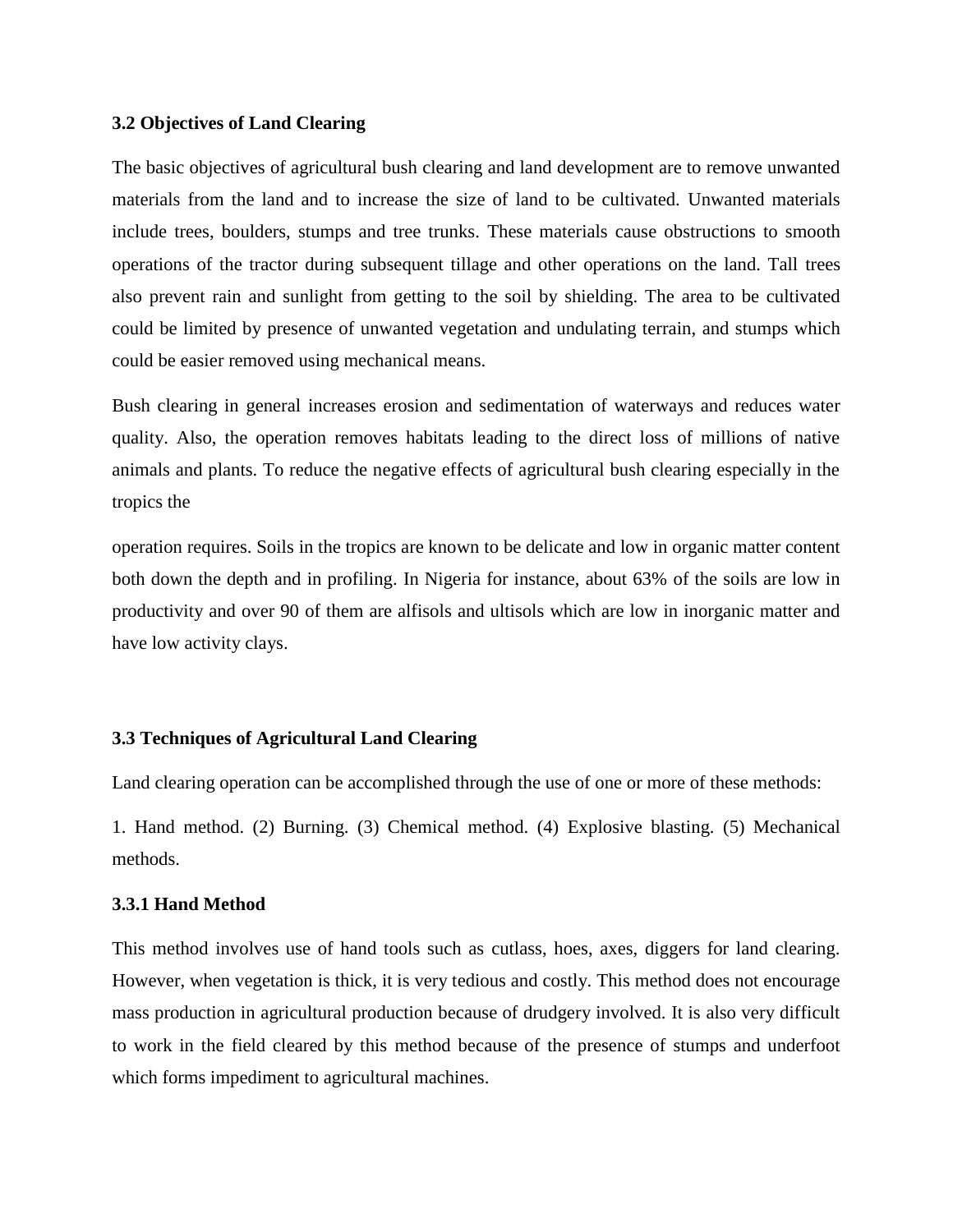## **3.2 Objectives of Land Clearing**

The basic objectives of agricultural bush clearing and land development are to remove unwanted materials from the land and to increase the size of land to be cultivated. Unwanted materials include trees, boulders, stumps and tree trunks. These materials cause obstructions to smooth operations of the tractor during subsequent tillage and other operations on the land. Tall trees also prevent rain and sunlight from getting to the soil by shielding. The area to be cultivated could be limited by presence of unwanted vegetation and undulating terrain, and stumps which could be easier removed using mechanical means.

Bush clearing in general increases erosion and sedimentation of waterways and reduces water quality. Also, the operation removes habitats leading to the direct loss of millions of native animals and plants. To reduce the negative effects of agricultural bush clearing especially in the tropics the

operation requires. Soils in the tropics are known to be delicate and low in organic matter content both down the depth and in profiling. In Nigeria for instance, about 63% of the soils are low in productivity and over 90 of them are alfisols and ultisols which are low in inorganic matter and have low activity clays.

# **3.3 Techniques of Agricultural Land Clearing**

Land clearing operation can be accomplished through the use of one or more of these methods:

1. Hand method. (2) Burning. (3) Chemical method. (4) Explosive blasting. (5) Mechanical methods.

# **3.3.1 Hand Method**

This method involves use of hand tools such as cutlass, hoes, axes, diggers for land clearing. However, when vegetation is thick, it is very tedious and costly. This method does not encourage mass production in agricultural production because of drudgery involved. It is also very difficult to work in the field cleared by this method because of the presence of stumps and underfoot which forms impediment to agricultural machines.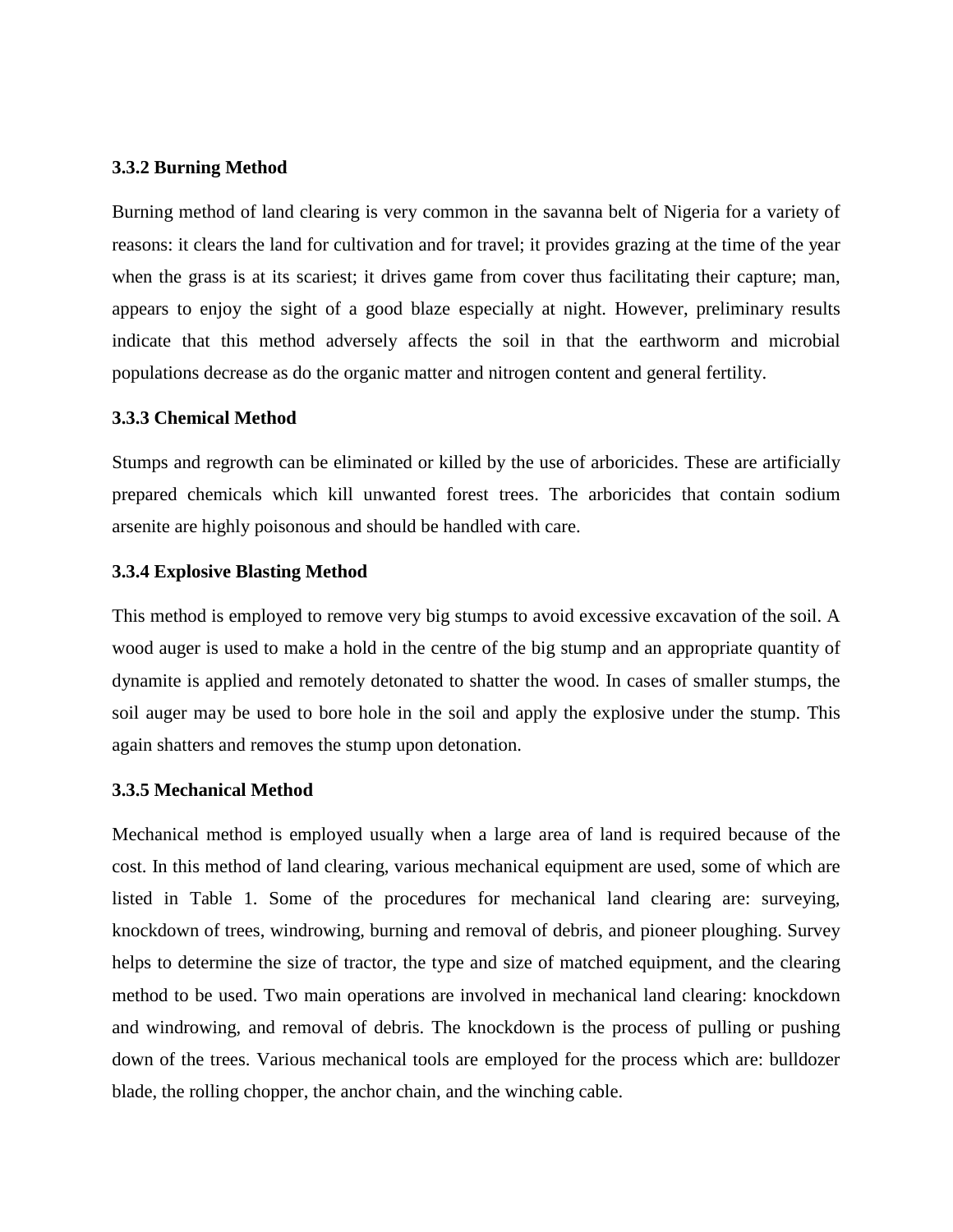## **3.3.2 Burning Method**

Burning method of land clearing is very common in the savanna belt of Nigeria for a variety of reasons: it clears the land for cultivation and for travel; it provides grazing at the time of the year when the grass is at its scariest; it drives game from cover thus facilitating their capture; man, appears to enjoy the sight of a good blaze especially at night. However, preliminary results indicate that this method adversely affects the soil in that the earthworm and microbial populations decrease as do the organic matter and nitrogen content and general fertility.

## **3.3.3 Chemical Method**

Stumps and regrowth can be eliminated or killed by the use of arboricides. These are artificially prepared chemicals which kill unwanted forest trees. The arboricides that contain sodium arsenite are highly poisonous and should be handled with care.

## **3.3.4 Explosive Blasting Method**

This method is employed to remove very big stumps to avoid excessive excavation of the soil. A wood auger is used to make a hold in the centre of the big stump and an appropriate quantity of dynamite is applied and remotely detonated to shatter the wood. In cases of smaller stumps, the soil auger may be used to bore hole in the soil and apply the explosive under the stump. This again shatters and removes the stump upon detonation.

#### **3.3.5 Mechanical Method**

Mechanical method is employed usually when a large area of land is required because of the cost. In this method of land clearing, various mechanical equipment are used, some of which are listed in Table 1. Some of the procedures for mechanical land clearing are: surveying, knockdown of trees, windrowing, burning and removal of debris, and pioneer ploughing. Survey helps to determine the size of tractor, the type and size of matched equipment, and the clearing method to be used. Two main operations are involved in mechanical land clearing: knockdown and windrowing, and removal of debris. The knockdown is the process of pulling or pushing down of the trees. Various mechanical tools are employed for the process which are: bulldozer blade, the rolling chopper, the anchor chain, and the winching cable.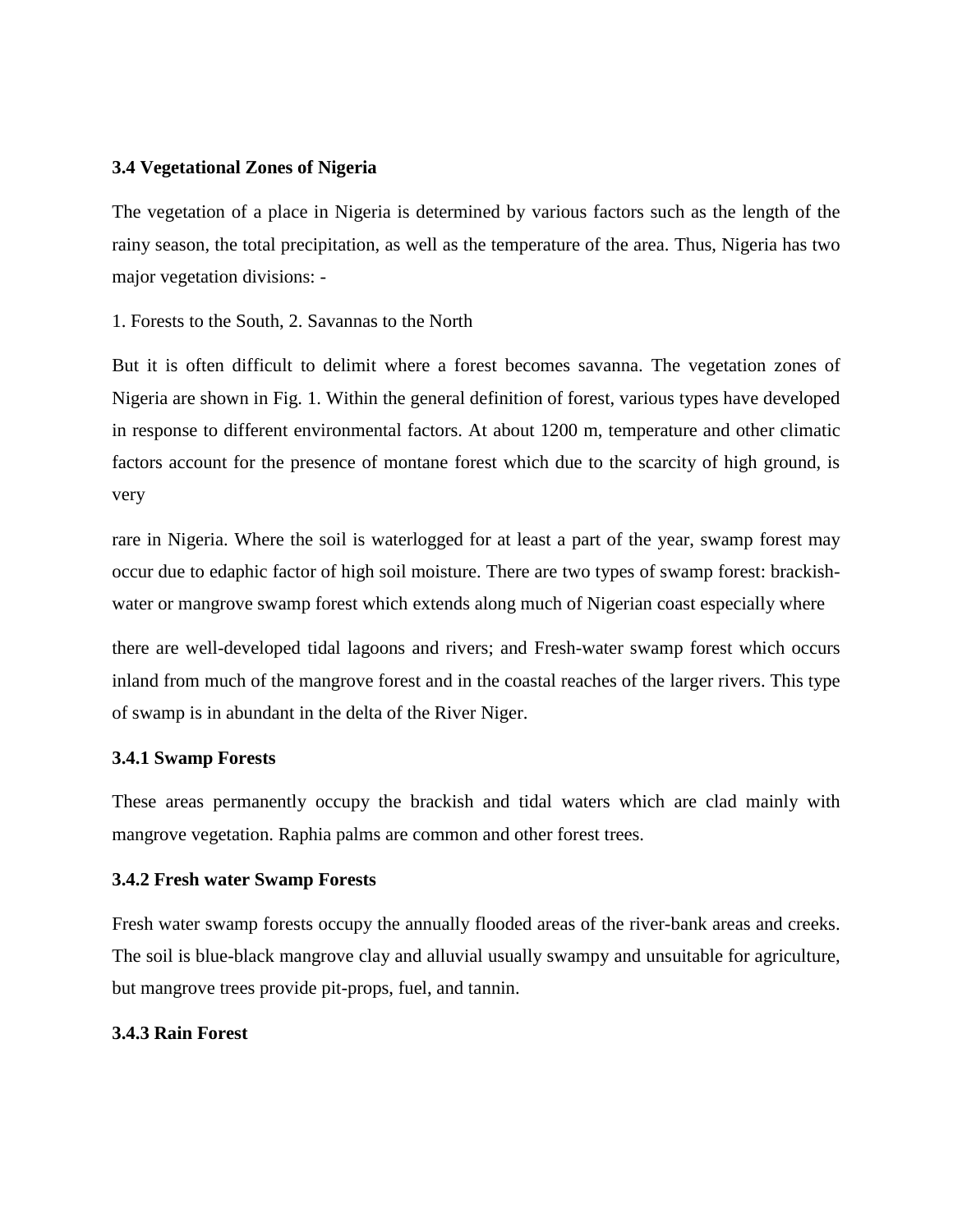## **3.4 Vegetational Zones of Nigeria**

The vegetation of a place in Nigeria is determined by various factors such as the length of the rainy season, the total precipitation, as well as the temperature of the area. Thus, Nigeria has two major vegetation divisions: -

1. Forests to the South, 2. Savannas to the North

But it is often difficult to delimit where a forest becomes savanna. The vegetation zones of Nigeria are shown in Fig. 1. Within the general definition of forest, various types have developed in response to different environmental factors. At about 1200 m, temperature and other climatic factors account for the presence of montane forest which due to the scarcity of high ground, is very

rare in Nigeria. Where the soil is waterlogged for at least a part of the year, swamp forest may occur due to edaphic factor of high soil moisture. There are two types of swamp forest: brackishwater or mangrove swamp forest which extends along much of Nigerian coast especially where

there are well-developed tidal lagoons and rivers; and Fresh-water swamp forest which occurs inland from much of the mangrove forest and in the coastal reaches of the larger rivers. This type of swamp is in abundant in the delta of the River Niger.

## **3.4.1 Swamp Forests**

These areas permanently occupy the brackish and tidal waters which are clad mainly with mangrove vegetation. Raphia palms are common and other forest trees.

## **3.4.2 Fresh water Swamp Forests**

Fresh water swamp forests occupy the annually flooded areas of the river-bank areas and creeks. The soil is blue-black mangrove clay and alluvial usually swampy and unsuitable for agriculture, but mangrove trees provide pit-props, fuel, and tannin.

## **3.4.3 Rain Forest**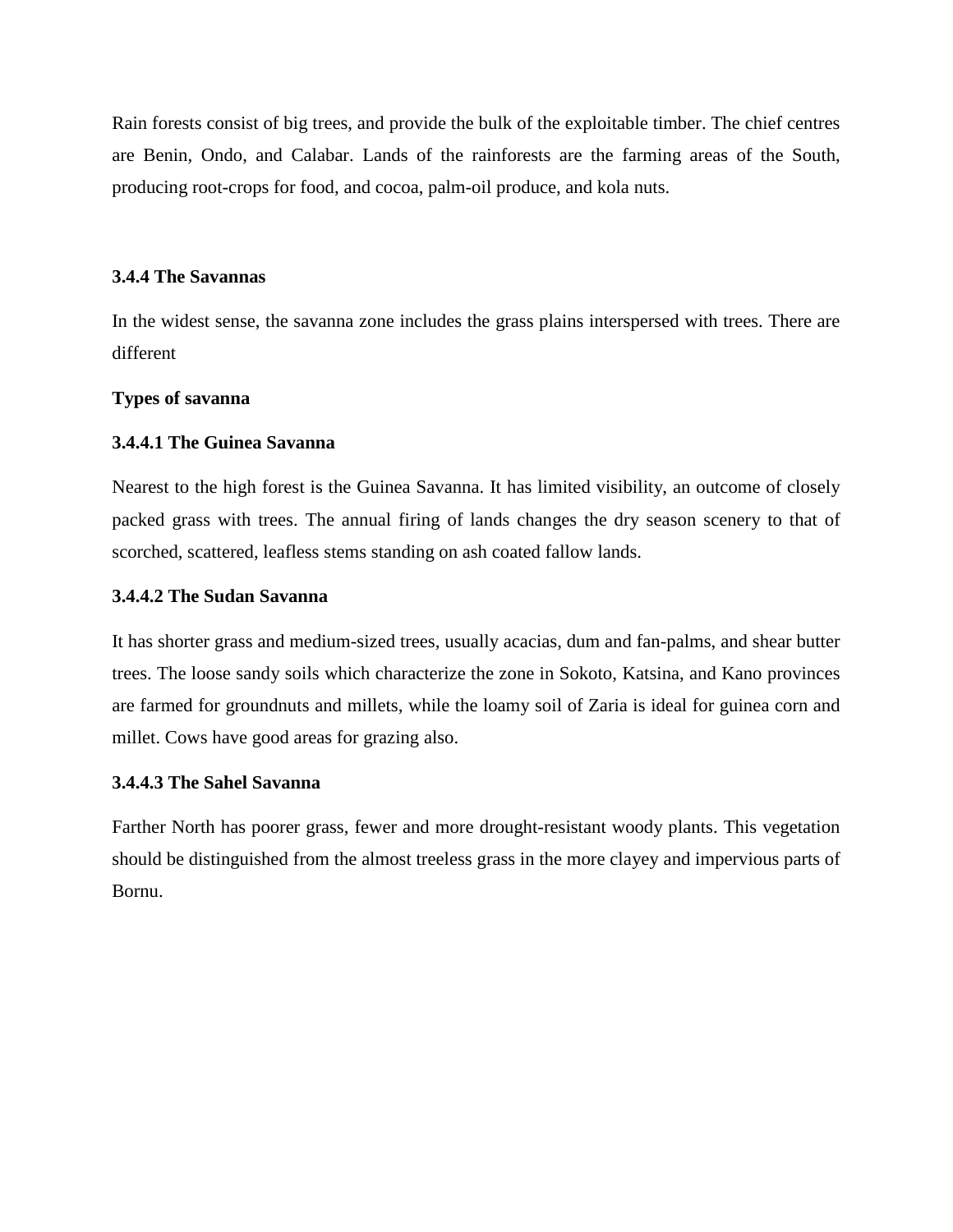Rain forests consist of big trees, and provide the bulk of the exploitable timber. The chief centres are Benin, Ondo, and Calabar. Lands of the rainforests are the farming areas of the South, producing root-crops for food, and cocoa, palm-oil produce, and kola nuts.

## **3.4.4 The Savannas**

In the widest sense, the savanna zone includes the grass plains interspersed with trees. There are different

# **Types of savanna**

# **3.4.4.1 The Guinea Savanna**

Nearest to the high forest is the Guinea Savanna. It has limited visibility, an outcome of closely packed grass with trees. The annual firing of lands changes the dry season scenery to that of scorched, scattered, leafless stems standing on ash coated fallow lands.

# **3.4.4.2 The Sudan Savanna**

It has shorter grass and medium-sized trees, usually acacias, dum and fan-palms, and shear butter trees. The loose sandy soils which characterize the zone in Sokoto, Katsina, and Kano provinces are farmed for groundnuts and millets, while the loamy soil of Zaria is ideal for guinea corn and millet. Cows have good areas for grazing also.

# **3.4.4.3 The Sahel Savanna**

Farther North has poorer grass, fewer and more drought-resistant woody plants. This vegetation should be distinguished from the almost treeless grass in the more clayey and impervious parts of Bornu.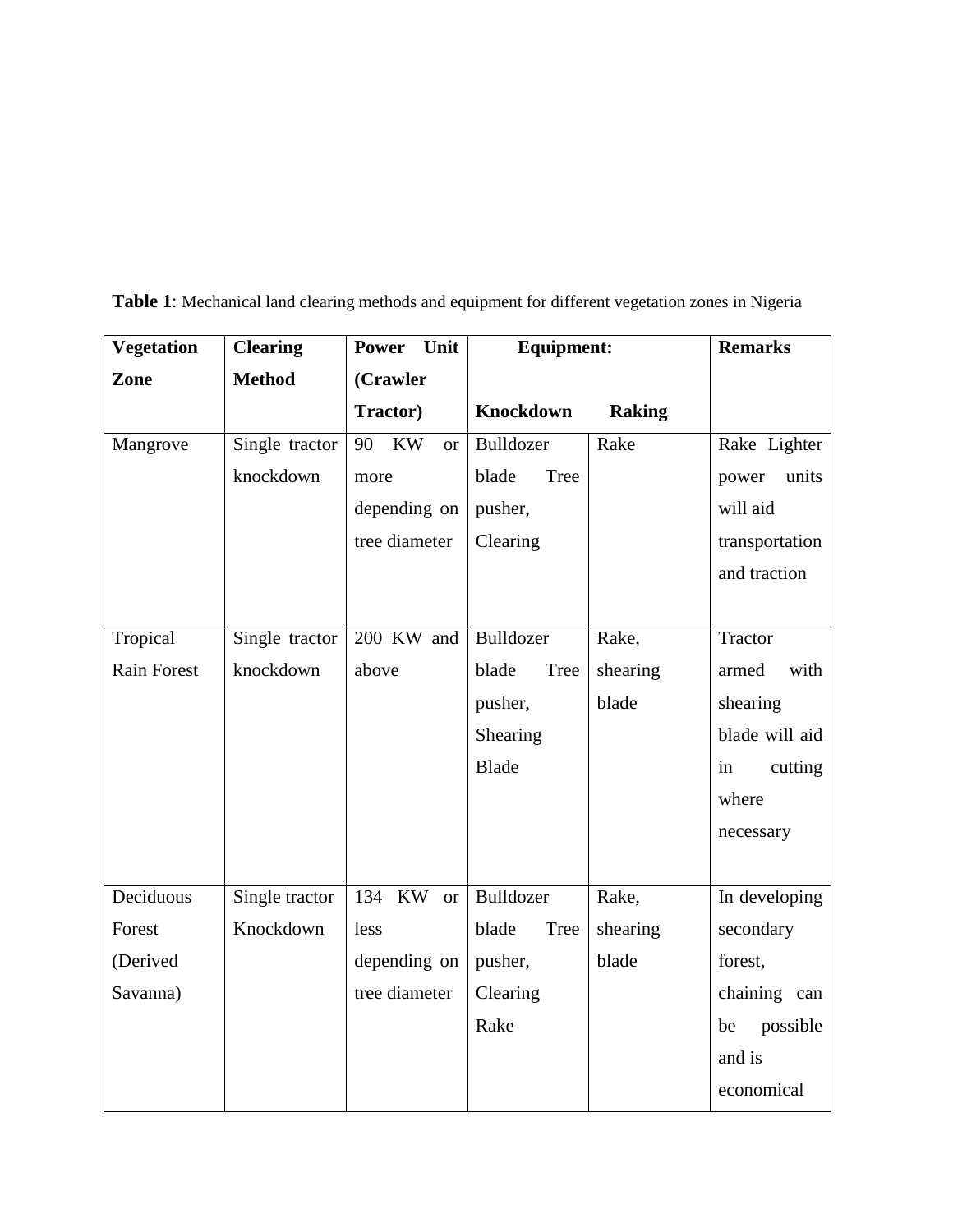| <b>Vegetation</b>  | <b>Clearing</b> | Power Unit                   | <b>Equipment:</b>    |               | <b>Remarks</b> |
|--------------------|-----------------|------------------------------|----------------------|---------------|----------------|
| Zone               | <b>Method</b>   | (Crawler                     |                      |               |                |
|                    |                 | <b>Tractor</b> )             | Knockdown            | <b>Raking</b> |                |
| Mangrove           | Single tractor  | <b>KW</b><br>90<br><b>or</b> | Bulldozer            | Rake          | Rake Lighter   |
|                    | knockdown       | more                         | blade<br>Tree        |               | units<br>power |
|                    |                 | depending on                 | pusher,              |               | will aid       |
|                    |                 | tree diameter                | Clearing             |               | transportation |
|                    |                 |                              |                      |               | and traction   |
|                    |                 |                              |                      |               |                |
| Tropical           | Single tractor  | 200 KW and                   | Bulldozer            | Rake,         | <b>Tractor</b> |
| <b>Rain Forest</b> | knockdown       | above                        | <b>Tree</b><br>blade | shearing      | with<br>armed  |
|                    |                 |                              | pusher,              | blade         | shearing       |
|                    |                 |                              | Shearing             |               | blade will aid |
|                    |                 |                              | <b>Blade</b>         |               | in<br>cutting  |
|                    |                 |                              |                      |               | where          |
|                    |                 |                              |                      |               | necessary      |
|                    |                 |                              |                      |               |                |
| Deciduous          | Single tractor  | 134 KW<br><b>or</b>          | Bulldozer            | Rake,         | In developing  |
| Forest             | Knockdown       | less                         | Tree<br>blade        | shearing      | secondary      |
| (Derived           |                 | depending on                 | pusher,              | blade         | forest,        |
| Savanna)           |                 | tree diameter                | Clearing             |               | chaining can   |
|                    |                 |                              | Rake                 |               | possible<br>be |
|                    |                 |                              |                      |               | and is         |
|                    |                 |                              |                      |               | economical     |

**Table 1**: Mechanical land clearing methods and equipment for different vegetation zones in Nigeria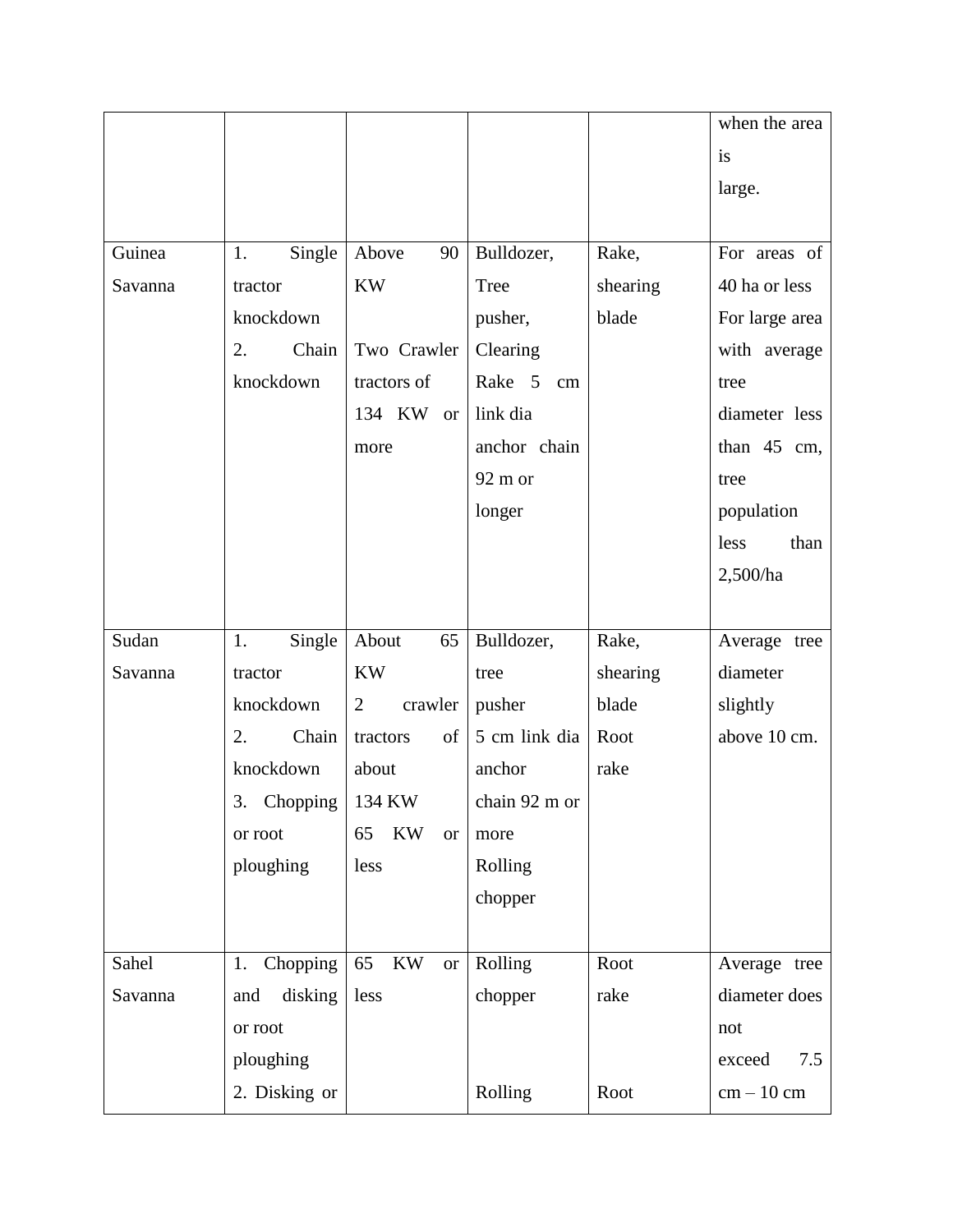|         |                |                                           |               |          | when the area  |
|---------|----------------|-------------------------------------------|---------------|----------|----------------|
|         |                |                                           |               |          | is             |
|         |                |                                           |               |          | large.         |
|         |                |                                           |               |          |                |
| Guinea  | Single<br>1.   | Above<br>90                               | Bulldozer,    | Rake,    | For areas of   |
| Savanna | tractor        | <b>KW</b>                                 | Tree          | shearing | 40 ha or less  |
|         | knockdown      |                                           | pusher,       | blade    | For large area |
|         | Chain<br>2.    | Two Crawler                               | Clearing      |          | with average   |
|         | knockdown      | tractors of                               | Rake 5<br>cm  |          | tree           |
|         |                | 134 KW<br><b>or</b>                       | link dia      |          | diameter less  |
|         |                | more                                      | anchor chain  |          | than $45$ cm,  |
|         |                |                                           | 92 m or       |          | tree           |
|         |                |                                           | longer        |          | population     |
|         |                |                                           |               |          | than<br>less   |
|         |                |                                           |               |          | 2,500/ha       |
|         |                |                                           |               |          |                |
| Sudan   | Single<br>1.   | About<br>65                               | Bulldozer,    | Rake,    | Average tree   |
| Savanna | tractor        | <b>KW</b>                                 | tree          | shearing | diameter       |
|         | knockdown      | crawler<br>$\overline{2}$                 | pusher        | blade    | slightly       |
|         | 2.<br>Chain    | of<br>tractors                            | 5 cm link dia | Root     | above 10 cm.   |
|         | knockdown      | about                                     | anchor        | rake     |                |
|         | 3.<br>Chopping | 134 KW                                    | chain 92 m or |          |                |
|         | or root        | KW<br>65<br><b>or</b>                     | more          |          |                |
|         | ploughing      | less                                      | Rolling       |          |                |
|         |                |                                           | chopper       |          |                |
|         |                |                                           |               |          |                |
| Sahel   | Chopping<br>1. | $\mathbf{K}\mathbf{W}$<br>65<br><b>or</b> | Rolling       | Root     | Average tree   |
| Savanna | disking<br>and | less                                      | chopper       | rake     | diameter does  |
|         | or root        |                                           |               |          | not            |
|         | ploughing      |                                           |               |          | 7.5<br>exceed  |
|         | 2. Disking or  |                                           | Rolling       | Root     | $cm - 10$ cm   |